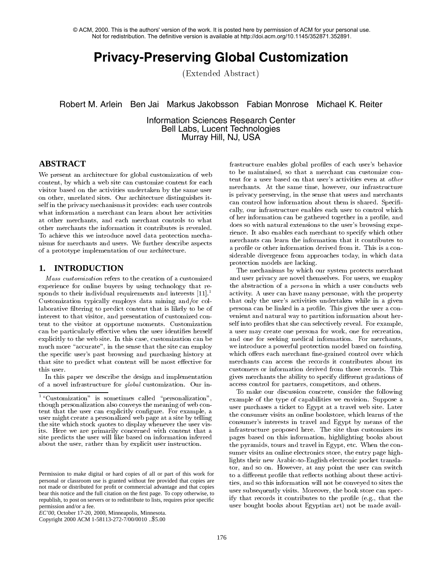© ACM, 2000. This is the authors' version of the work. It is posted here by permission of ACM for your personal use. Not for redistribution. The definitive version is available at http://doi.acm.org/10.1145/352871.352891.

# **Privacy-Preserving Global Customization**

(Extended Abstract)

Robert M. Arlein Ben Jai Markus Jakobsson Fabian Monrose Michael K. Reiter

Information Sciences Research Center Bell Labs, Lucent Technologies Murray Hill, NJ, USA

# **ABSTRACT**

We present an architecture for global customization of web content, by which a web site can customize content for each visitor based on the activities undertaken by the same user on other, unrelated sites. Our architecture distinguishes itself in the privacy mechanisms it provides: each user controls what information a merchant can learn about her activities at other merchants, and each merchant controls to what other merchants the information it contributes is revealed. To achieve this we introduce novel data protection mechanisms for merchants and users. We further describe aspects of a prototype implementation of our architecture.

## **1. INTRODUCTION**

Mass customization refers to the creation of a customized experience for online buyers by using technology that re sponds to their individual requirements and interests  $[11]$ .<sup>1</sup> Customization typically employs data mining and/or collaborative filtering to predict content that is likely to be of interest to that visitor, and presentation of customized content to the visitor at opportune moments. Customization can be particularly effective when the user identifies herself explicitly to the web site. In this case, customization can be much more "accurate", in the sense that the site can employ the specic user's past browsing and purchasing history at that site to predict what content will be most effective for this user.

In this paper we describe the design and implementation of a novel infrastructure for global customization. Our in-

Copyright 2000 ACM 1-58113-272-7/00/0010 ..\$5.00

frastructure enables global profiles of each user's behavior to be maintained, so that a merchant can customize con tent for a user based on that user's activities even at other merchants. At the same time, however, our infrastructure is privacy preserving, in the sense that users and merchants can control how information about them is shared. Specifically, our infrastructure enables each user to control which of her information can be gathered together in a profile, and does so with natural extensions to the user's browsing experience. It also enables each merchant to specify which other merchants can learn the information that it contributes to a profile or other information derived from it. This is a considerable divergence from approaches today, in which data protection models are lacking.

The mechanisms by which our system protects merchant and user privacy are novel themselves. For users, we employ the abstraction of a persona in which a user conducts web activity. A user can have many personae, with the property that only the user's activities undertaken while in a given persona can be linked in a profile. This gives the user a convenient and natural way to partition information about herself into profiles that she can selectively reveal. For example, a user may create one persona for work, one for recreation, and one for seeking medical information. For merchants, we introduce a powerful protection model based on tainting, which offers each merchant fine-grained control over which merchants can access the records it contributes about its customers or information derived from those records. This gives merchants the ability to specify different gradations of access control for partners, competitors, and others.

To make our discussion concrete, consider the following example of the type of capabilities we envision. Suppose a user purchases a ticket to Egypt at a travel web site. Later the consumer visits an online bookstore, which learns of the consumer's interests in travel and Egypt by means of the infrastructure proposed here. The site thus customizes its pages based on this information, highlighting books about the pyramids, tours and travel in Egypt, etc. When the consumer visits an online electronics store, the entry page highlights their new Arabic-to-English electronic pocket translator, and so on. However, at any point the user can switch to a different profile that reflects nothing about these activities, and so this information will not be conveyed to sites the user subsequently visits. Moreover, the book store can specify that records it contributes to the profile (e.g., that the user bought books about Egyptian art) not be made avail-

 $1\text{``Customization''}$  is sometimes called "personalization", though personalization also conveys the meaning of web content that the user can explicitly configure. For example, a user might create a personalized web page at a site by telling the site which stock quotes to display whenever the user visits. Here we are primarily concerned with content that a site predicts the user will like based on information inferred about the user, rather than by explicit user instruction.

Permission to make digital or hard copies of all or part of this work for personal or classroom use is granted without fee provided that copies are not made or distributed for profit or commercial advantage and that copies bear this notice and the full citation on the first page. To copy otherwise, to republish, to post on servers or to redistribute to lists, requires prior specific permission and/or a fee.

*EC'00,* October 17-20, 2000, Minneapolis, Minnesota.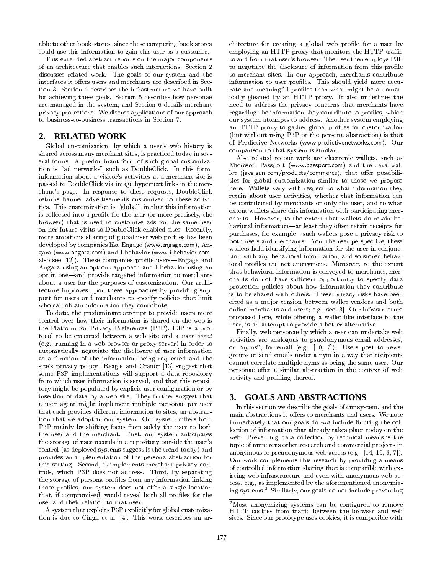able to other book stores, since these competing book stores could use this information to gain this user as a customer.

This extended abstract reports on the ma jor components of an architecture that enables such interactions. Section 2 discusses related work. The goals of our system and the interfaces it offers users and merchants are described in Section 3. Section 4 describes the infrastructure we have built for achieving these goals. Section 5 describes how personae are managed in the system, and Section 6 details merchant privacy protections. We discuss applications of our approach to business-to-business transactions in Section 7.

# **2. RELATED WORK**

Global customization, by which a user's web history is shared across many merchant sites, is practiced today in several forms. A predominant form of such global customization is "ad networks" such as DoubleClick. In this form, information about a visitor's activities at a merchant site is passed to DoubleClick via image hypertext links in the mer chant's page. In response to these requests, DoubleClick returns banner advertisements customized to these activities. This customization is \global" in that this information is collected into a profile for the user (or more precisely, the browser) that is used to customize ads for the same user on her future visits to DoubleClick-enabled sites. Recently, more ambitious sharing of global user web profiles has been developed by companies like Engage (www.engage.com), Angara (www.angara.com) and I-behavior (www.i-behavior.com; also see  $[12]$ . These companies profile users—Engage and Angara using an opt-out approach and I-behavior using an opt-in one—and provide targeted information to merchants about a user for the purposes of customization. Our architecture improves upon these approaches by providing support for users and merchants to specify policies that limit who can obtain information they contribute.

To date, the predominant attempt to provide users more control over how their information is shared on the web is the Platform for Privacy Preferences (P3P). P3P is a protocol to be executed between a web site and a user agent (e.g., running in a web browser or proxy server) in order to automatically negotiate the disclosure of user information as a function of the information being requested and the site's privacy policy. Reagle and Cranor [13] suggest that some P3P implementations will support a data repository from which user information is served, and that this repository might be populated by explicit user conguration or by insertion of data by a web site. They further suggest that  $\frac{3}{4}$ a user agent might implement multiple personae per user that each provides different information to sites, an abstraction that we adopt in our system. Our system differs from P3P mainly by shifting focus from solely the user to both the user and the merchant. First, our system anticipates the storage of user records in a repository outside the user's control (as deployed systems suggest is the trend today) and provides an implementation of the persona abstraction for this setting. Second, it implements merchant privacy controls, which P3P does not address. Third, by separating the storage of persona profiles from any information linking those profiles, our system does not offer a single location that, if compromised, would reveal both all profiles for the user and their relation to that user.

A system that exploits P3P explicitly for global customization is due to Cingil et al. [4]. This work describes an architecture for creating a global web profile for a user by employing an HTTP proxy that monitors the HTTP traffic to and from that user's browser. The user then employs P3P to negotiate the disclosure of information from this profile to merchant sites. In our approach, merchants contribute information to user profiles. This should yield more accurate and meaningful profiles than what might be automatically gleaned by an HTTP proxy. It also underlines the need to address the privacy concerns that merchants have regarding the information they contribute to profiles, which our system attempts to address. Another system employing an HTTP proxy to gather global profiles for customization (but without using P3P or the persona abstraction) is that of Predictive Networks (www.predictivenetworks.com). Our comparison to that system is similar.

Also related to our work are electronic wallets, such as Microsoft Passport (www.passport.com) and the Java wallet (java.sun.com/products/commerce), that offer possibilities for global customization similar to those we propose here. Wallets vary with respect to what information they retain about user activities, whether that information can be contributed by merchants or only the user, and to what extent wallets share this information with participating mer chants. However, to the extent that wallets do retain behavioral information-at least they often retain receipts for purchases, for example—such wallets pose a privacy risk to both users and merchants. From the user perspective, these wallets hold identifying information for the user in conjunction with any behavioral information, and so stored behavioral profiles are not anonymous. Moreover, to the extent that behavioral information is conveyed to merchants, mer chants do not have sufficient opportunity to specify data protection policies about how information they contribute is to be shared with others. These privacy risks have been cited as a major tension between wallet vendors and both online merchants and users; e.g., see [3]. Our infrastructure proposed here, while offering a wallet-like interface to the user, is an attempt to provide a better alternative.

Finally, web personae by which a user can undertake web activities are analogous to psuedonymous email addresses, or "nyms", for email (e.g.,  $[10, 7]$ ). Users post to newsgroups or send emails under a nym in a way that recipients cannot correlate multiple nyms as being the same user. Our personae offer a similar abstraction in the context of web activity and profiling thereof.

# **3. GOALS AND ABSTRACTIONS**

In this section we describe the goals of our system, and the main abstractions it offers to merchants and users. We note immediately that our goals do not include limiting the collection of information that already takes place today on the web. Preventing data collection by technical means is the topic of numerous other research and commercial pro jects in anonymous or pseudonymous web access (e.g., [14, 15, 6, 7]). Our work complements this research by providing a means of controlled information sharing that is compatible with existing web infrastructure and even with anonymous web access, e.g., as implemented by the aforementioned anonymizing systems.<sup>2</sup> Similarly, our goals do not include preventing

<sup>&</sup>lt;sup>2</sup>Most anonymizing systems can be configured to remove HTTP cookies from traffic between the browser and web sites. Since our prototype uses cookies, it is compatible with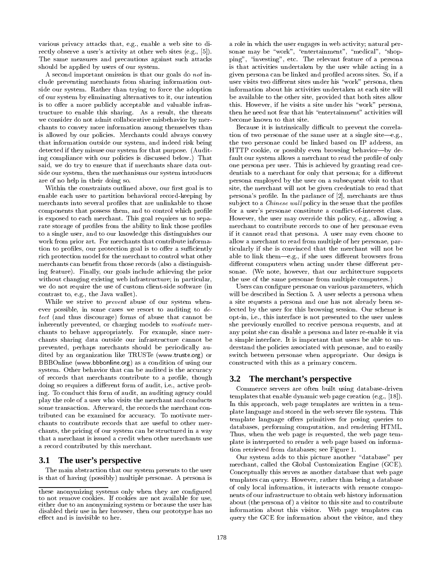various privacy attacks that, e.g., enable a web site to directly observe a user's activity at other web sites (e.g., [5]). The same measures and precautions against such attacks should be applied by users of our system.

A second important omission is that our goals do not include preventing merchants from sharing information outside our system. Rather than trying to force the adoption of our system by eliminating alternatives to it, our intention is to offer a more publicly acceptable and valuable infrastructure to enable this sharing. As a result, the threats we consider do not admit collaborative misbehavior by mer chants to convey more information among themselves than is allowed by our policies. Merchants could always convey that information outside our system, and indeed risk being detected if they misuse our system for that purpose. (Auditing compliance with our policies is discussed below.) That said, we do try to ensure that if merchants share data outside our system, then the mechanisms our system introduces are of no help in their doing so.

Within the constraints outlined above, our first goal is to enable each user to partition behavioral record-keeping by merchants into several profiles that are unlinkable to those components that possess them, and to control which profile is exposed to each merchant. This goal requires us to separate storage of profiles from the ability to link those profiles to a single user, and to our knowledge this distinguishes our work from prior art. For merchants that contribute information to profiles, our protection goal is to offer a sufficiently rich protection model for the merchant to control what other merchants can benefit from those records (also a distinguishing feature). Finally, our goals include achieving the prior without changing existing web infrastructure; in particular, we do not require the use of custom client-side software (in contrast to, e.g., the Java wallet).

While we strive to prevent abuse of our system when ever possible, in some cases we resort to auditing to  $de$ tect (and thus discourage) forms of abuse that cannot be inherently prevented, or charging models to motivate mer chants to behave appropriately. For example, since mer chants sharing data outside our infrastructure cannot be prevented, perhaps merchants should be periodically au dited by an organization like TRUSTe (www.truste.org) or BBBOnline (www.bbbonline.org) as a condition of using our system. Other behavior that can be audited is the accuracy of records that merchants contribute to a profile, though  $3.2$ doing so requires a different form of audit, i.e., active probing. To conduct this form of audit, an auditing agency could play the role of a user who visits the merchant and conducts some transaction. Afterward, the records the merchant contributed can be examined for accuracy. To motivate mer chants to contribute records that are useful to other mer chants, the pricing of our system can be structured in a way that a merchant is issued a credit when other merchants use a record contributed by this merchant.

#### **3.1 The user's perspective**

The main abstraction that our system presents to the user is that of having (possibly) multiple personae. A persona is a role in which the user engages in web activity; natural per sonae may be "work", "entertainment", "medical", "shopping", \investing", etc. The relevant feature of a persona is that activities undertaken by the user while acting in a given persona can be linked and proled across sites. So, if a user visits two different sites under his "work" persona, then information about his activities undertaken at each site will be available to the other site, provided that both sites allow this. However, if he visits a site under his \work" persona, then he need not fear that his "entertainment" activities will become known to that site.

Because it is intrinsically difficult to prevent the correlation of two personae of the same user at a single site—e.g., the two personae could be linked based on IP address, an HTTP cookie, or possibly even browsing behavior-by default our system allows a merchant to read the profile of only one persona per user. This is achieved by granting read credentials to a merchant for only that persona; for a different persona employed by the user on a subsequent visit to that site, the merchant will not be given credentials to read that persona's profile. In the parlance of [2], merchants are thus subject to a *Chinese wall* policy in the sense that the profiles for a user's personae constitute a con
ict-of-interest class. However, the user may override this policy, e.g., allowing a merchant to contribute records to one of her personae even if it cannot read that persona. A user may even choose to allow a merchant to read from multiple of her personae, particularly if she is convinced that the merchant will not be able to link them—e.g., if she uses different browsers from different computers when acting under these different personae. (We note, however, that our architecture supports the use of the same personae from multiple computers.)

Users can configure personae on various parameters, which will be described in Section 5. A user selects a persona when a site requests a persona and one has not already been selected by the user for this browsing session. Our scheme is opt-in, i.e., this interface is not presented to the user unless she previously enrolled to receive persona requests, and at any point she can disable a persona and later re-enable it via a simple interface. It is important that users be able to understand the policies associated with personae, and to easily switch between personae when appropriate. Our design is constructed with this as a primary concern.

# **3.2 The merchant's perspective**

Commerce servers are often built using database-driven templates that enable dynamic web page creation (e.g., [18]). In this approach, web page templates are written in a template language and stored in the web server file system. This template language offers primitives for posing queries to databases, performing computation, and rendering HTML. Thus, when the web page is requested, the web page template is interpreted to render a web page based on information retrieved from databases; see Figure 1.

Our system adds to this picture another "database" per merchant, called the Global Customization Engine (GCE). Conceptually this serves as another database that web page templates can query. However, rather than being a database of only local information, it interacts with remote compo nents of our infrastructure to obtain web history information about (the persona of) a visitor to this site and to contribute information about this visitor. Web page templates can query the GCE for information about the visitor, and they

these anonymizing systems only when they are configured to not remove cookies. If cookies are not available for use, either due to an anonymizing system or because the user has disabled their use in her browser, then our prototype has no effect and is invisible to her.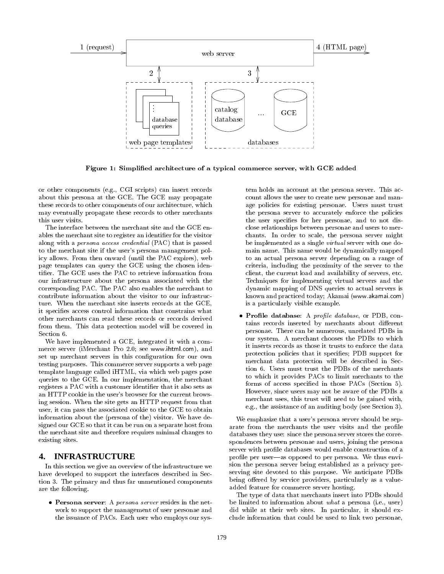

Figure 1: Simplied architecture of a typical commerce server, with GCE added

or other components (e.g., CGI scripts) can insert records about this persona at the GCE. The GCE may propagate these records to other components of our architecture, which may eventually propagate these records to other merchants this user visits.

The interface between the merchant site and the GCE enables the merchant site to register an identifier for the visitor along with a persona access credential (PAC) that is passed to the merchant site if the user's persona management policy allows. From then onward (until the PAC expires), web page templates can query the GCE using the chosen identier. The GCE uses the PAC to retrieve information from our infrastructure about the persona associated with the corresponding PAC. The PAC also enables the merchant to contribute information about the visitor to our infrastructure. When the merchant site inserts records at the GCE, it species access control information that constrains what other merchants can read these records or records derived from them. This data protection model will be covered in Section 6.

We have implemented a GCE, integrated it with a com merce server (iMerchant Pro 2.0; see www.ihtml.com), and set up merchant servers in this configuration for our own testing purposes. This commerce server supports a web page template language called iHTML, via which web pages pose queries to the GCE. In our implementation, the merchant registers a PAC with a customer identifier that it also sets as an HTTP cookie in the user's browser for the current browsing session. When the site gets an HTTP request from that user, it can pass the associated cookie to the GCE to obtain information about the (persona of the) visitor. We have designed our GCE so that it can be run on a separate host from the merchant site and therefore requires minimal changes to existing sites.

# **4. INFRASTRUCTURE**

In this section we give an overview of the infrastructure we have developed to support the interfaces described in Section 3. The primary and thus far unmentioned components are the following.

 $\bullet\,$  Persona server: A  $\it persona\,\it server$  resides in the network to support the management of user personae and the issuance of PACs. Each user who employs our system holds an account at the persona server. This ac count allows the user to create new personae and manage policies for existing personae. Users must trust the persona server to accurately enforce the policies the user specifies for her personae, and to not disclose relationships between personae and users to mer chants. In order to scale, the persona server might be implemented as a single virtual server with one domain name. This name would be dynamically mapped to an actual persona server depending on a range of criteria, including the proximity of the server to the client, the current load and availability of servers, etc. Techniques for implementing virtual servers and the dynamic mapping of DNS queries to actual servers is known and practiced today; Akamai (www.akamai.com) is a particularly visible example.

 $\bullet$  Profile database: A prople database, or PDB, contains records inserted by merchants about different personae. There can be numerous, unrelated PDBs in our system. A merchant chooses the PDBs to which it inserts records as those it trusts to enforce the data protection policies that it species; PDB support for merchant data protection will be described in Section 6. Users must trust the PDBs of the merchants to which it provides PACs to limit merchants to the forms of access specied in those PACs (Section 5). However, since users may not be aware of the PDBs a merchant uses, this trust will need to be gained with, e.g., the assistance of an auditing body (see Section 3).

We emphasize that a user's persona server should be separate from the merchants the user visits and the profile databases they use: since the persona server stores the correspondences between personae and users, joining the persona server with profile databases would enable construction of a profile per user—as opposed to per persona. We thus envision the persona server being established as a privacy preserving site devoted to this purpose. We anticipate PDBs being offered by service providers, particularly as a valueadded feature for commerce server hosting.

The type of data that merchants insert into PDBs should be limited to information about what a persona (i.e., user) did while at their web sites. In particular, it should ex clude information that could be used to link two personae,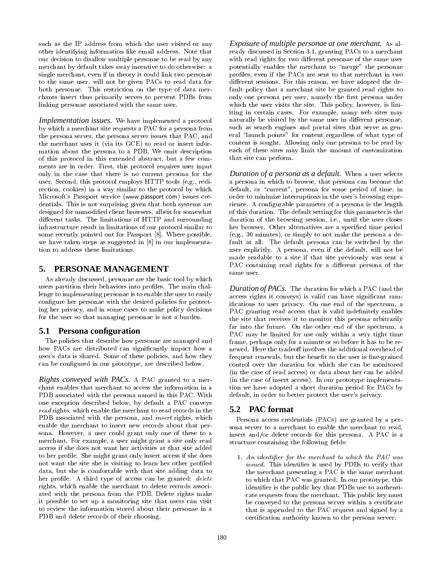such as the IP address from which the user visited or any other identifying information like email address. Note that our decision to disallow multiple personae to be read by any merchant by default takes away incentive to do otherwise: a single merchant, even if in theory it could link two personae to the same user, will not be given PACs to read data for both personae. This restriction on the type of data mer chants insert thus primarily serves to prevent PDBs from linking personae associated with the same user.

*Implementation issues.* We have implemented a protocol by which a merchant site requests a PAC for a persona from the persona server, the persona server issues that PAC, and the merchant uses it (via its GCE) to read or insert information about the persona to a PDB. We omit description of this protocol in this extended abstract, but a few com ments are in order. First, this protocol requires user input only in the case that there is no current persona for the user. Second, this protocol employs HTTP tools (e.g., redirection, cookies) in a way similar to the protocol by which Microsoft's Passport service (www.passport.com) issues credentials. This is not surprising given that both systems are designed for unmodied client browsers, albeit for somewhat different tasks. The limitations of HTTP and surrounding infrastructure result in limitations of our protocol similar to some recently pointed out for Passport [8]. Where possible, we have taken steps as suggested in [8] in our implementation to address these limitations.

## **5. PERSONAE MANAGEMENT**

As already discussed, personae are the basic tool by which users partition their behaviors into profiles. The main challenge to implementing personae is to enable the user to easily configure her personae with the desired policies for protecting her privacy, and in some cases to make policy decisions for the user so that managing personae is not a burden.

#### **5.1 Persona configuration**

The policies that describe how personae are managed and how PACs are distributed can significantly impact how a user's data is shared. Some of these policies, and how they can be configured in our prototype, are described below.

*Rights conveyed with PACs.* A PAC granted to a mer chant enables that merchant to access the information in a PDB associated with the persona named in this PAC. With one exception described below, by default a PAC conveys read rights, which enable the merchant to read records in the PDB associated with the persona, and *insert* rights, which enable the merchant to insert new records about that per sona. However, a user could grant only one of these to a merchant. For example, a user might grant a site only read access if she does not want her activities at that site added to her profile. She might grant only insert access if she does not want the site she is visiting to learn her other profiled data, but she is comfortable with that site adding data to her profile. A third type of access can be granted: delete rights, which enable the merchant to delete records associated with the persona from the PDB. Delete rights make it possible to set up a monitoring site that users can visit to review the information stored about their personae in a PDB and delete records of their choosing.

*Exposure of multiple personae at one merchant.* As already discussed in Section 3.1, granting PACs to a merchant with read rights for two different personae of the same user potentially enables the merchant to \merge" the personae profiles, even if the PACs are sent to that merchant in two different sessions. For this reason, we have adopted the default policy that a merchant site be granted read rights to only one persona per user, namely the first persona under which the user visits the site. This policy, however, is limiting in certain cases. For example, many web sites may naturally be visited by the same user in different personae, such as search engines and portal sites that serve as general "launch points" for content regardless of what type of content is sought. Allowing only one persona to be read by each of these sites may limit the amount of customization that site can perform.

*Duration of a persona as a default.* When a user selects a persona in which to browse, that persona can become the default, or "current", persona for some period of time, in order to minimize interruptions in the user's browsing experience. A configurable parameter of a persona is the length of this duration. The default setting for this parameter is the duration of the browsing session, i.e., until the user closes her browser. Other alternatives are a specied time period (e.g., 30 minutes), or simply to not make the persona a default at all. The default persona can be switched by the user explicitly. A persona, even if the default, will not be made readable to a site if that site previously was sent a PAC containing read rights for a different persona of the same user.

*Duration of PACs.* The duration for which a PAC (and the access rights it conveys) is valid can have signicant ramications to user privacy. On one end of the spectrum, a PAC granting read access that is valid indefinitely enables the site that receives it to monitor this persona arbitrarily far into the future. On the other end of the spectrum, a PAC may be limited for use only within a very tight time frame, perhaps only for a minute or so before it has to be re newed. Here the tradeoff involves the additional overhead of frequent renewals, but the benefit to the user is fine-grained control over the duration for which she can be monitored (in the case of read access) or data about her can be added (in the case of insert access). In our prototype implementation we have adopted a short duration period for PACs by default, in order to better protect the user's privacy.

#### **5.2 PAC format**

Persona access credentials (PACs) are granted by a per sona server to a merchant to enable the merchant to read, insert and/or delete records for this persona. A PAC is a structure containing the following fields:

1. An identifier for the merchant to which the PAC was issued. This identifier is used by PDBs to verify that the merchant presenting a PAC is the same merchant to which that PAC was granted. In our prototype, this identifier is the public key that PDBs use to authenticate requests from the merchant. This public key must be conveyed to the persona server within a certificate that is appended to the PAC request and signed by a certication authority known to the persona server.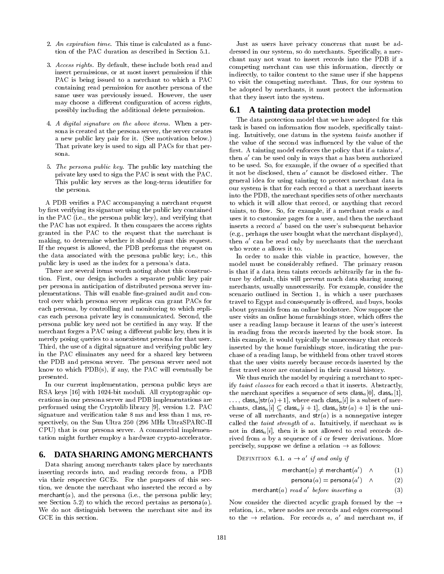- 2. An expiration time. This time is calculated as a function of the PAC duration as described in Section 5.1.
- 3. Access rights. By default, these include both read and insert permissions, or at most insert permission if this PAC is being issued to a merchant to which a PAC containing read permission for another persona of the same user was previously issued. However, the user may choose a different configuration of access rights, possibly including the additional delete permission.
- 4. A digital signature on the above items. When a persona is created at the persona server, the server creates a new public key pair for it. (See motivation below.) That private key is used to sign all PACs for that per-
- 5. The persona public key. The public key matching the private key used to sign the PAC is sent with the PAC. This public key serves as the long-term identifier for the persona.

A PDB veries a PAC accompanying a merchant request by first verifying its signature using the public key contained in the PAC (i.e., the persona public key), and verifying that the PAC has not expired. It then compares the access rights granted in the PAC to the request that the merchant is making, to determine whether it should grant this request. If the request is allowed, the PDB performs the request on the data associated with the persona public key; i.e., this public key is used as the index for a persona's data.

There are several items worth noting about this construction. First, our design includes a separate public key pair per persona in anticipation of distributed persona server implementations. This will enable fine-grained audit and control over which persona server replicas can grant PACs for each persona, by controlling and monitoring to which repli cas each persona private key is communicated. Second, the persona public key need not be certied in any way. If the merchant forges a PAC using a different public key, then it is merely posing queries to a nonexistent persona for that user. Third, the use of a digital signature and verifying public key in the PAC eliminates any need for a shared key between the PDB and persona server. The persona server need not know to which PDB(s), if any, the PAC will eventually be presented.

In our current implementation, persona public keys are RSA keys [16] with 1024-bit moduli. All cryptographic operations in our persona server and PDB implementations are performed using the Cryptolib library [9], version 1.2. PAC signature and verification take 8 ms and less than 1 ms, respectively, on the Sun Ultra 250 (296 MHz UltraSPARC-II CPU) that is our persona server. A commercial implementation might further employ a hardware crypto-accelerator.

## **6. DATA SHARING AMONG MERCHANTS**

Data sharing among merchants takes place by merchants inserting records into, and reading records from, a PDB via their respective GCEs. For the purposes of this sec tion, we denote the merchant who inserted the record <sup>a</sup> by merchant(a), and the persona (i.e., the persona public key; see Section 5.2) to which the record pertains as  $\mathsf{persona}(a)$ . We do not distinguish between the merchant site and its GCE in this section.

Just as users have privacy concerns that must be addressed in our system, so do merchants. Specically, a mer chant may not want to insert records into the PDB if a competing merchant can use this information, directly or indirectly, to tailor content to the same user if she happens to visit the competing merchant. Thus, for our system to be adopted by merchants, it must protect the information that they insert into the system.

#### **6.1 A tainting data protection model**

The data protection model that we have adopted for this task is based on information flow models, specifically tainting. Intuitively, one datum in the system taints another if the value of the second was influenced by the value of the  $\max$ . A tainting model enforces the policy that if  $a$  taints  $a$  , then  $a$  -can be used only in ways that  $a$  has been authorized  $\hspace{0.1mm}$ to be used. So, for example, if the owner of  $a$  specified that it not be disclosed, then  $a$  -cannot be disclosed either. The  $\,$ general idea for using tainting to protect merchant data in our system is that for each record <sup>a</sup> that a merchant inserts into the PDB, the merchant species sets of other merchants to which it will allow that record, or anything that record taints, to flow. So, for example, if a merchant reads  $a$  and uses it to customize pages for a user, and then the merchant inserts a record  $a'$  based on the user's subsequent behavior (e.g., perhaps the user bought what the merchant displayed), then  $a$  can be read only by merchants that the merchant  $\,$ who wrote <sup>a</sup> allows it to.

In order to make this viable in practice, however, the model must be considerably refined. The primary reason is that if a data item taints records arbitrarily far in the future by default, this will prevent much data sharing among merchants, usually unnecessarily. For example, consider the scenario outlined in Section 1, in which a user purchases travel to Egypt and consequently is offered, and buys, books about pyramids from an online bookstore. Now suppose the user visits an online home furnishings store, which offers the user a reading lamp because it learns of the user's interest in reading from the records inserted by the book store. In this example, it would typically be unnecessary that records inserted by the home furnishings store, indicating the pur chase of a reading lamp, be withheld from other travel stores that the user visits merely because records inserted by the first travel store are contained in their causal history.

We thus enrich the model by requiring a merchant to specify taint classes for each record <sup>a</sup> that it inserts. Abstractly, the merchant specifies a sequence of sets class<sub>a</sub>[0], class<sub>a</sub>[1],  $\ldots$ , class<sub>a</sub>[str(a) + 1], where each class<sub>a</sub>[i] is a subset of merchants, class<sub>a</sub>[i]  $\subseteq$  class<sub>a</sub>[i + 1], class<sub>a</sub>[str(a) + 1] is the universe of all merchants, and  $str(a)$  is a nonnegative integer called the taint strength of  $a$ . Intuitively, if merchant  $m$  is not in class<sub>a</sub>[i], then it is not allowed to read records derived from <sup>a</sup> by a sequence of <sup>i</sup> or fewer derivations. More precisely, suppose we define a relation  $\rightarrow$  as follows:

DEFINITION 6.1.  $a \rightarrow a$  if and only if

$$
\mathsf{merchant}(a) \neq \mathsf{merchant}(a') \quad \wedge \qquad \qquad (1)
$$

$$
\mathsf{persona}(a) = \mathsf{persona}(a') \quad \wedge \qquad \qquad (2)
$$

 $\mathsf{mercnan}(\mathfrak{a})$  read a vefore inserting a (3)

Now consider the directed acyclic graph formed by the  $\rightarrow$ relation, i.e., where nodes are records and edges correspond to the  $\rightarrow$  relation. For records a, a and merchant m, if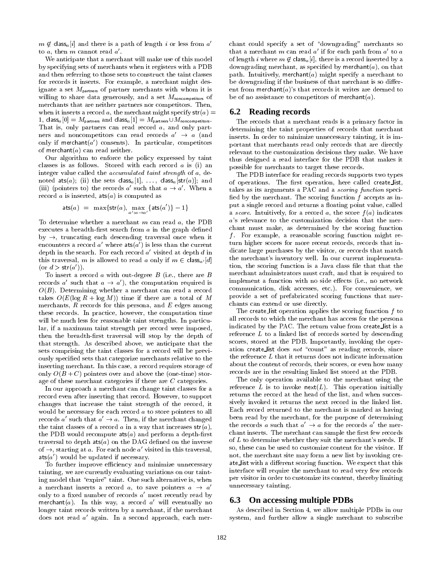$m \notin \text{class}_a[i]$  and there is a path of length i or less from a to  $a$ , then  $m$  cannot read  $a$  .  $\hspace{0.25in}$ 

We anticipate that a merchant will make use of this model by specifying sets of merchants when it registers with a PDB and then referring to those sets to construct the taint classes for records it inserts. For example, a merchant might designate a set  $M_{\text{patterns}}$  of partner merchants with whom it is willing to share data generously, and a set  $M_{\text{noncompleteness}}$  of merchants that are neither partners nor competitors. Then, when it inserts a record a, the merchant might specify  $str(a) =$ 1, class<sub>a</sub>[0] =  $M_{\text{partners}}$  and class<sub>a</sub>[1] =  $M_{\text{partners}} \cup M_{\text{noncomputors}}$ . That is, only partners can read record a, and only part ners and noncompetitors can read records  $a^+ \rightarrow a$  (and  $a^$ only if merchant( $a$ ) consents). In particular, competitors  $\hspace{0.1em}$ of merchant $(a)$  can read neither.

Our algorithm to enforce the policy expressed by taint classes is as follows. Stored with each record <sup>a</sup> is (i) an integer value called the accumulated taint strength of a, denoted ats(a); (ii) the sets class<sub>a</sub>[1], ..., class<sub>a</sub>[str(a)]; and (iii) (pointers to) the records a such that  $a \to a$ . When a  $\epsilon_{13}$ record a is inserted,  $ats(a)$  is computed as

$$
\mathsf{ats}(a) = \max\{\mathsf{str}(a), \max_{a':a \to a'}\{\mathsf{ats}(a')\} - 1\}
$$

To determine whether a merchant  $m$  can read  $a$ , the PDB executes a breadth-first search from  $a$  in the graph defined  $by \rightarrow$ , truncating each descending traversal once when it encounters a record  $a$  where  $\texttt{ats}(a$  ) is less than the current  $\hspace{1cm}$ depth in the search. For each record  $a$  visited at depth  $a$  in  $a$ this traversal, m is allowed to read a only if  $m \in \text{class}_{a'}[d]$ (or  $a >$  str(a)).

To insert a record  $a$  with out-degree  $B$  (i.e., there are  $B$ records a such that  $a \to a$ ), the computation required is  $\qquad$  $O(B)$ . Determining whether a merchant can read a record takes  $O(E(\log R + \log M))$  time if there are a total of M merchants,  $R$  records for this persona, and  $E$  edges among these records. In practice, however, the computation time will be much less for reasonable taint strengths. In particular, if a maximum taint strength per record were imposed, then the breadth-first traversal will stop by the depth of that strength. As described above, we anticipate that the sets comprising the taint classes for a record will be previously specied sets that categorize merchants relative to the inserting merchant. In this case, a record requires storage of only  $O(B+C)$  pointers over and above the (one-time) storage of these merchant categories if there are <sup>C</sup> categories.

In our approach a merchant can change taint classes for a record even after inserting that record. However, to support changes that increase the taint strength of the record, it would be necessary for each record <sup>a</sup> to store pointers to all records a such that  $a \rightarrow a$ . Then, if the merchant changed  $\qquad$ the taint classes of a record a in a way that increases  $str(a)$ , the PDB would recompute  $ats(a)$  and perform a depth-first traversal to depth  $ats(a)$  on the DAG defined on the inverse of  $\rightarrow$ , starting at a. For each node a' visited in this traversal, ats $(a\,$  ) would be updated if necessary.

To further improve efficiency and minimize unnecessary tainting, we are currently evaluating variations on our tainting model that "expire" taint. One such alternative is, when a merchant inserts a record a, to save pointers  $a \rightarrow a'$ only to a fixed number of records  $a$  most recently read by  $\qquad \qquad$ merchant(a). In this way, a record a will eventually no  $\bullet$ longer taint records written by a merchant, if the merchant does not read <sup>a</sup> <sup>0</sup> again. In a second approach, each mer-

chant could specify a set of "downgrading" merchants so that a merchant  $m$  can read  $a$  if for each path from  $a$  to  $a$ of length i where  $m \notin \text{class}_a[i]$ , there is a record inserted by a downgrading merchant, as specified by merchant $(a)$ , on that path. Intuitively, merchant(a) might specify a merchant to be downgrading if the business of that merchant is so different from merchant( $a$ )'s that records it writes are deemed to be of no assistance to competitors of merchant $(a)$ .

#### **6.2 Reading records**

The records that a merchant reads is a primary factor in determining the taint properties of records that merchant inserts. In order to minimize unnecessary tainting, it is important that merchants read only records that are directly relevant to the customization decisions they make. We have thus designed a read interface for the PDB that makes it possible for merchants to target these records.

The PDB interface for reading records supports two types of operations. The first operation, here called create list, takes as its arguments a PAC and a scoring function speci fied by the merchant. The scoring function  $f$  accepts as input a single record and returns a floating point value, called a score. Intuitively, for a record a, the score  $f(a)$  indicates <sup>a</sup>'s relevance to the customization decision that the mer chant must make, as determined by the scoring function  $f$ . For example, a reasonable scoring function might return higher scores for more recent records, records that indicate large purchases by the visitor, or records that match the merchant's inventory well. In our current implementation, the scoring function is a Java class file that that the merchant administrators must craft, and that is required to implement a function with no side effects (i.e., no network communication, disk accesses, etc.). For convenience, we provide a set of prefabricated scoring functions that mer chants can extend or use directly.

The create list operation applies the scoring function  $f$  to all records to which the merchant has access for the persona indicated by the PAC. The return value from create list is a reference <sup>L</sup> to a linked list of records sorted by descending scores, stored at the PDB. Importantly, invoking the operation create list does not "count" as reading records, since the reference <sup>L</sup> that it returns does not indicate information about the content of records, their scores, or even how many records are in the resulting linked list stored at the PDB.

The only operation available to the merchant using the reference  $L$  is to invoke next $(L)$ . This operation initially returns the record at the head of the list, and when successively invoked it returns the next record in the linked list. Each record returned to the merchant is marked as having been read by the merchant, for the purpose of determining the records a such that  $a \rightarrow a$  for the records a the merchant inserts. The merchant can sample the first few records of <sup>L</sup> to determine whether they suit the merchant's needs. If so, these can be used to customize content for the visitor. If not, the merchant site may form a new list by invoking cre ate list with a dierent scoring function. We expect that the this this interface will require the merchant to read very few records per visitor in order to customize its content, thereby limiting unnecessary tainting.

## **6.3 On accessing multiple PDBs**

As described in Section 4, we allow multiple PDBs in our system, and further allow a single merchant to subscribe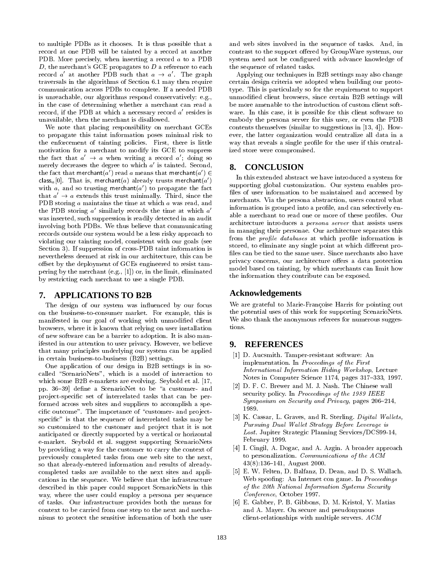to multiple PDBs as it chooses. It is thus possible that a record at one PDB will be tainted by a record at another PDB. More precisely, when inserting a record <sup>a</sup> to a PDB  $D$ , the merchant's GCE propagates to  $D$  a reference to each record a at another PDB such that  $a \rightarrow a$ . The graph  $A$ traversals in the algorithms of Section 6.1 may then require communication across PDBs to complete. If a needed PDB is unreachable, our algorithms respond conservatively: e.g., in the case of determining whether a merchant can read a record, if the PDB at which a necessary record  $a$  resides is  $\qquad\hskip.1in$ unavailable, then the merchant is disallowed.

We note that placing responsibility on merchant GCEs to propagate this taint information poses minimal risk to the enforcement of tainting policies. First, there is little motivation for a merchant to modify its GCE to suppress the fact that  $a \rightarrow a$  when writing a record  $a$ ; doing so merely decreases the degree to which  $a$  is tainted. Second,  $\qquad$ the fact that merchant(a') read a means that merchant(a')  $\in$ class,  $|0|$ . That is, merchant( $a$ ) already trusts merchant( $a$ ) with a, and so trusting merchant(a) to propagate the fact  $\qquad \qquad$ that  $a \rightarrow a$  extends this trust minimally. Third, since the  $\Box$ PDB storing <sup>a</sup> maintains the time at which <sup>a</sup> was read, and the PDB storing a similarly records the time at which  $a$  ,  $\,$ was inserted, such suppression is readily detected in an audit involving both PDBs. We thus believe that communicating records outside our system would be a less risky approach to violating our tainting model, consistent with our goals (see Section 3). If suppression of cross-PDB taint information is nevertheless deemed at risk in our architecture, this can be offset by the deployment of GCEs engineered to resist tampering by the merchant (e.g., [1]) or, in the limit, eliminated by restricting each merchant to use a single PDB.

## **7. APPLICATIONS TO B2B**

The design of our system was influenced by our focus on the business-to-consumer market. For example, this is manifested in our goal of working with unmodified client browsers, where it is known that relying on user installation of new software can be a barrier to adoption. It is also manifested in our attention to user privacy. However, we believe **9.** that many principles underlying our system can be applied in certain business-to-business (B2B) settings.

One application of our design in B2B settings is in so called "ScenarioNets", which is a model of interaction to which some B2B e-markets are evolving. Seybold et al. [17, pp. 36-39] define a ScenarioNet to be "a customer- and project-specific set of interrelated tasks that can be performed across web sites and suppliers to accomplish a specific outcome". The importance of "customer- and projectspecific" is that the sequence of interrelated tasks may be so customized to the customer and project that it is not anticipated or directly supported by a vertical or horizontal e-market. Seybold et al. suggest supporting ScenarioNets by providing a way for the customer to carry the context of previously completed tasks from one web site to the next, so that already-entered information and results of alreadycompleted tasks are available to the next sites and applications in the sequence. We believe that the infrastructure described in this paper could support ScenarioNets in this way, where the user could employ a persona per sequence of tasks. Our infrastructure provides both the means for context to be carried from one step to the next and mechanisms to protect the sensitive information of both the user

and web sites involved in the sequence of tasks. And, in contrast to the support offered by GroupWare systems, our system need not be configured with advance knowledge of the sequence of related tasks.

Applying our techniques in B2B settings may also change certain design criteria we adopted when building our prototype. This is particularly so for the requirement to support unmodied client browsers, since certain B2B settings will be more amenable to the introduction of custom client soft ware. In this case, it is possible for this client software to embody the persona server for this user, or even the PDB contents themselves (similar to suggestions in [13, 4]). How ever, the latter organization would centralize all data in a way that reveals a single profile for the user if this centralized store were compromised.

# **8. CONCLUSION**

In this extended abstract we have introduced a system for supporting global customization. Our system enables pro files of user information to be maintained and accessed by merchants. Via the persona abstraction, users control what information is grouped into a profile, and can selectively enable a merchant to read one or more of these profiles. Our architecture introduces a persona server that assists users in managing their personae. Our architecture separates this from the *profile databases* at which profile information is stored, to eliminate any single point at which different profiles can be tied to the same user. Since merchants also have privacy concerns, our architecture offers a data protection model based on tainting, by which merchants can limit how the information they contribute can be exposed.

#### **Acknowledgements**

We are grateful to Marie-Francoise Harris for pointing out the potential uses of this work for supporting ScenarioNets. We also thank the anonymous referees for numerous suggestions.

## **9. REFERENCES**

- [1] D. Aucsmith. Tamper-resistant software: An implementation. In Proceedings of the First International Information Hiding Workshop, Lecture Notes in Computer Science 1174, pages 317-333, 1997.
- [2] D. F. C. Brewer and M. J. Nash. The Chinese wall security policy. In Proceedings of the 1989 IEEE  $Symposing on Security and Privacy, pages 206-214,$ 1989.
- [3] K. Cassar, L. Graves, and R. Sterling. Digital Wallets. Pursuing Dual Wallet Strategy Before Leverage is Lost. Jupiter Strategic Planning Services/DCS99-14, February 1999.
- [4] I. Cingil, A. Dogac, and A. Azgin. A broader approach to personalization. Communications of the ACM 43(8):136-141, August 2000.
- [5] E. W. Felten, D. Balfanz, D. Dean, and D. S. Wallach. Web spoofing: An Internet con game. In Proceedings of the 20th National Information Systems Security Conference, October 1997.
- [6] E. Gabber, P. B. Gibbons, D. M. Kristol, Y. Matias and A. Mayer. On secure and pseudonymous client-relationships with multiple servers. ACM